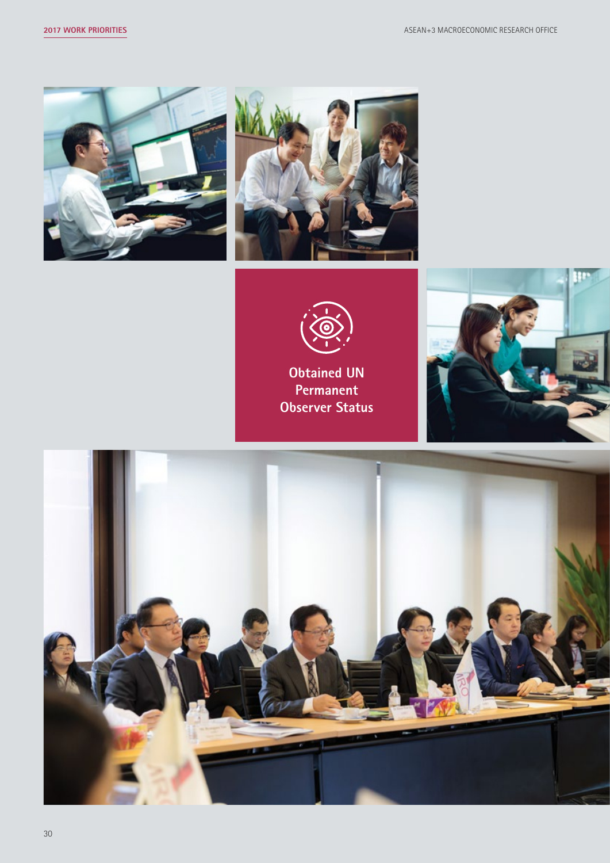





**Obtained UN Permanent Observer Status**



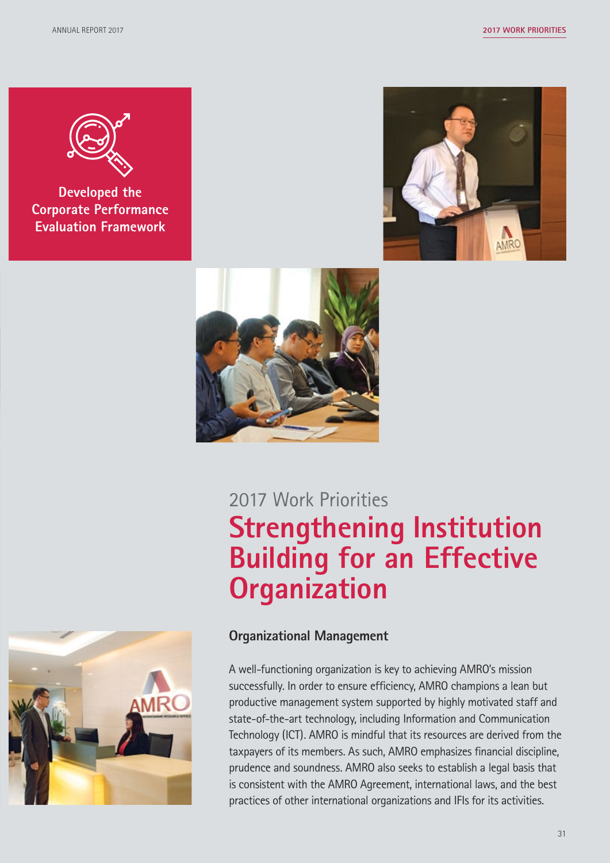

**Developed the Corporate Performance Evaluation Framework**





# 2017 Work Priorities **Strengthening Institution Building for an Effective Organization**



#### **Organizational Management**

A well-functioning organization is key to achieving AMRO's mission successfully. In order to ensure efficiency, AMRO champions a lean but productive management system supported by highly motivated staff and state-of-the-art technology, including Information and Communication Technology (ICT). AMRO is mindful that its resources are derived from the taxpayers of its members. As such, AMRO emphasizes financial discipline, prudence and soundness. AMRO also seeks to establish a legal basis that is consistent with the AMRO Agreement, international laws, and the best practices of other international organizations and IFIs for its activities.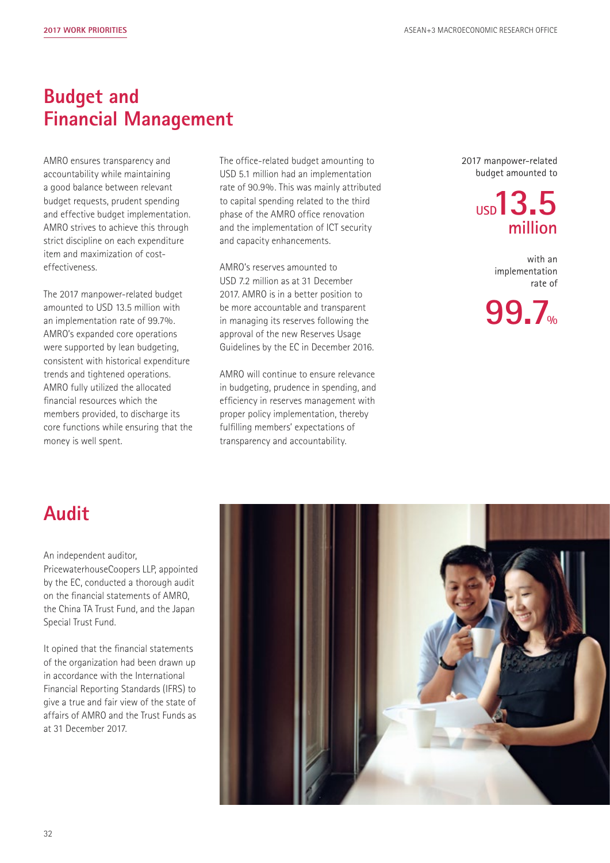## **Budget and Financial Management**

AMRO ensures transparency and accountability while maintaining a good balance between relevant budget requests, prudent spending and effective budget implementation. AMRO strives to achieve this through strict discipline on each expenditure item and maximization of costeffectiveness.

The 2017 manpower-related budget amounted to USD 13.5 million with an implementation rate of 99.7%. AMRO's expanded core operations were supported by lean budgeting, consistent with historical expenditure trends and tightened operations. AMRO fully utilized the allocated financial resources which the members provided, to discharge its core functions while ensuring that the money is well spent.

The office-related budget amounting to USD 5.1 million had an implementation rate of 90.9%. This was mainly attributed to capital spending related to the third phase of the AMRO office renovation and the implementation of ICT security and capacity enhancements.

AMRO's reserves amounted to USD 7.2 million as at 31 December 2017. AMRO is in a better position to be more accountable and transparent in managing its reserves following the approval of the new Reserves Usage Guidelines by the EC in December 2016.

AMRO will continue to ensure relevance in budgeting, prudence in spending, and efficiency in reserves management with proper policy implementation, thereby fulfilling members' expectations of transparency and accountability.

2017 manpower-related budget amounted to

# **USD13.5 million**

with an implementation rate of



## **Audit**

#### An independent auditor,

PricewaterhouseCoopers LLP, appointed by the EC, conducted a thorough audit on the financial statements of AMRO, the China TA Trust Fund, and the Japan Special Trust Fund.

It opined that the financial statements of the organization had been drawn up in accordance with the International Financial Reporting Standards (IFRS) to give a true and fair view of the state of affairs of AMRO and the Trust Funds as at 31 December 2017.

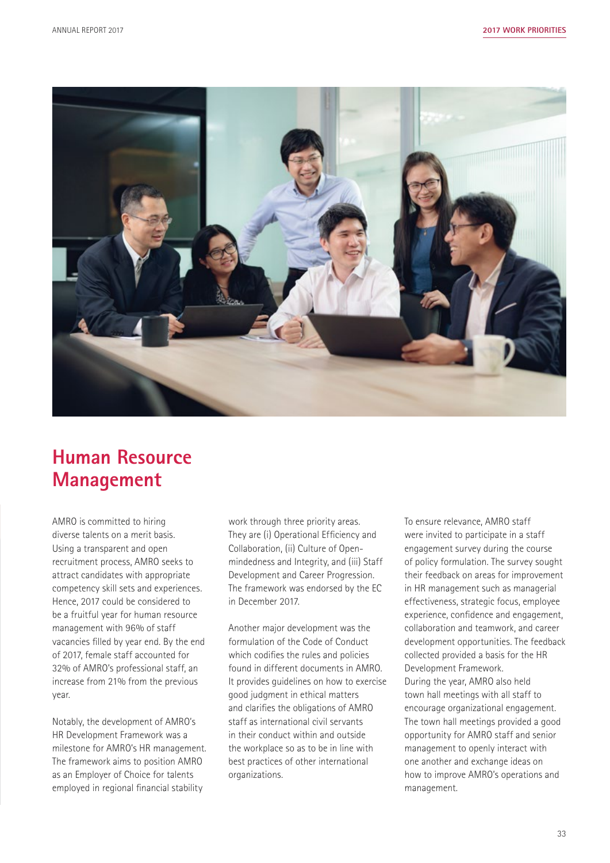

## **Human Resource Management**

AMRO is committed to hiring diverse talents on a merit basis. Using a transparent and open recruitment process, AMRO seeks to attract candidates with appropriate competency skill sets and experiences. Hence, 2017 could be considered to be a fruitful year for human resource management with 96% of staff vacancies filled by year end. By the end of 2017, female staff accounted for 32% of AMRO's professional staff, an increase from 21% from the previous year.

Notably, the development of AMRO's HR Development Framework was a milestone for AMRO's HR management. The framework aims to position AMRO as an Employer of Choice for talents employed in regional financial stability

work through three priority areas. They are (i) Operational Efficiency and Collaboration, (ii) Culture of Openmindedness and Integrity, and (iii) Staff Development and Career Progression. The framework was endorsed by the EC in December 2017.

Another major development was the formulation of the Code of Conduct which codifies the rules and policies found in different documents in AMRO. It provides guidelines on how to exercise good judgment in ethical matters and clarifies the obligations of AMRO staff as international civil servants in their conduct within and outside the workplace so as to be in line with best practices of other international organizations.

To ensure relevance, AMRO staff were invited to participate in a staff engagement survey during the course of policy formulation. The survey sought their feedback on areas for improvement in HR management such as managerial effectiveness, strategic focus, employee experience, confidence and engagement, collaboration and teamwork, and career development opportunities. The feedback collected provided a basis for the HR Development Framework. During the year, AMRO also held town hall meetings with all staff to encourage organizational engagement. The town hall meetings provided a good opportunity for AMRO staff and senior management to openly interact with one another and exchange ideas on how to improve AMRO's operations and management.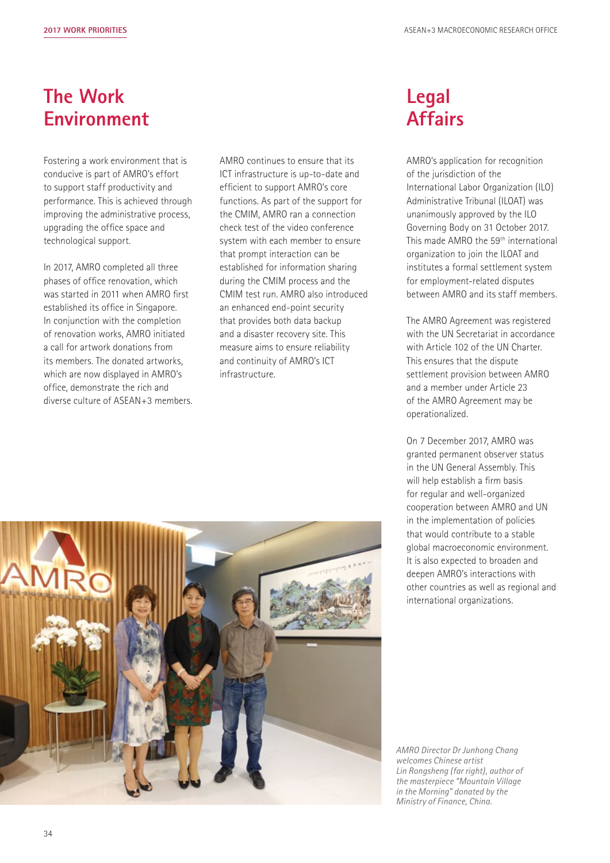#### **The Work Environment**

Fostering a work environment that is conducive is part of AMRO's effort to support staff productivity and performance. This is achieved through improving the administrative process, upgrading the office space and technological support.

In 2017, AMRO completed all three phases of office renovation, which was started in 2011 when AMRO first established its office in Singapore. In conjunction with the completion of renovation works, AMRO initiated a call for artwork donations from its members. The donated artworks, which are now displayed in AMRO's office, demonstrate the rich and diverse culture of ASEAN+3 members. AMRO continues to ensure that its ICT infrastructure is up-to-date and efficient to support AMRO's core functions. As part of the support for the CMIM, AMRO ran a connection check test of the video conference system with each member to ensure that prompt interaction can be established for information sharing during the CMIM process and the CMIM test run. AMRO also introduced an enhanced end-point security that provides both data backup and a disaster recovery site. This measure aims to ensure reliability and continuity of AMRO's ICT infrastructure.

#### **Legal Affairs**

AMRO's application for recognition of the jurisdiction of the International Labor Organization (ILO) Administrative Tribunal (ILOAT) was unanimously approved by the ILO Governing Body on 31 October 2017. This made AMRO the 59<sup>th</sup> international organization to join the ILOAT and institutes a formal settlement system for employment-related disputes between AMRO and its staff members.

The AMRO Agreement was registered with the UN Secretariat in accordance with Article 102 of the UN Charter. This ensures that the dispute settlement provision between AMRO and a member under Article 23 of the AMRO Agreement may be operationalized.

On 7 December 2017, AMRO was granted permanent observer status in the UN General Assembly. This will help establish a firm basis for regular and well-organized cooperation between AMRO and UN in the implementation of policies that would contribute to a stable global macroeconomic environment. It is also expected to broaden and deepen AMRO's interactions with other countries as well as regional and international organizations.



*AMRO Director Dr Junhong Chang welcomes Chinese artist Lin Rongsheng (far right), author of the masterpiece "Mountain Village in the Morning" donated by the Ministry of Finance, China.*